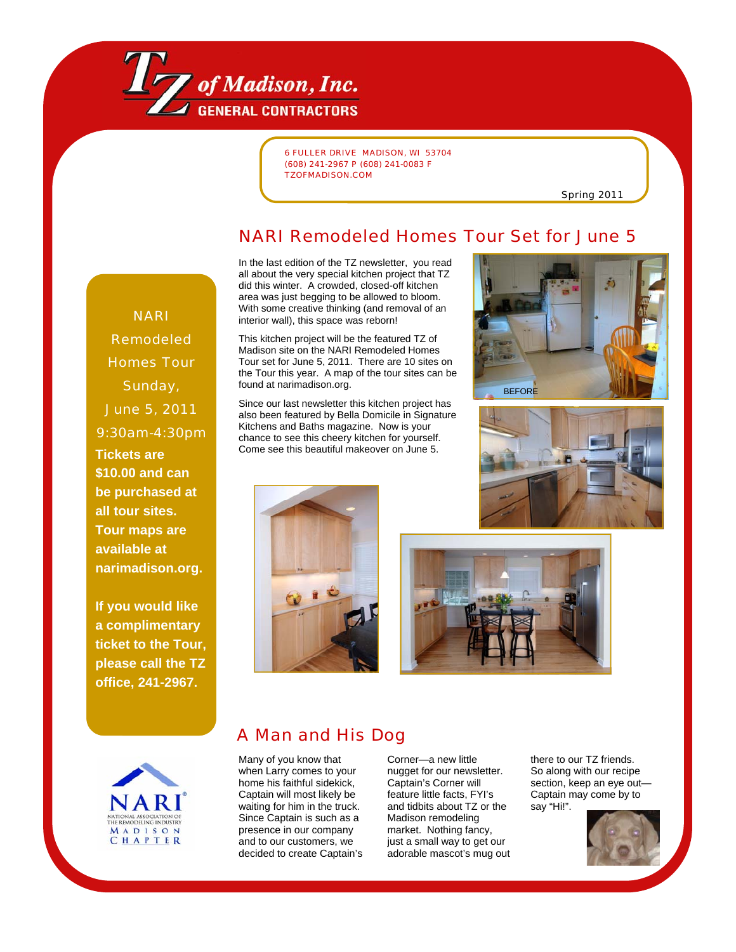

6 FULLER DRIVE MADISON, WI 53704 (608) 241-2967 P (608) 241-0083 F TZOFMADISON.COM

Spring 2011

## NARI Remodeled Homes Tour Set for June 5

In the last edition of the TZ newsletter, you read all about the very special kitchen project that TZ did this winter. A crowded, closed-off kitchen area was just begging to be allowed to bloom. With some creative thinking (and removal of an interior wall), this space was reborn!

This kitchen project will be the featured TZ of Madison site on the NARI Remodeled Homes Tour set for June 5, 2011. There are 10 sites on the Tour this year. A map of the tour sites can be found at narimadison.org.

Since our last newsletter this kitchen project has also been featured by Bella Domicile in Signature Kitchens and Baths magazine. Now is your chance to see this cheery kitchen for yourself. Come see this beautiful makeover on June 5.









# A Man and His Dog

Many of you know that when Larry comes to your home his faithful sidekick, Captain will most likely be waiting for him in the truck. Since Captain is such as a presence in our company and to our customers, we decided to create Captain's

Corner—a new little nugget for our newsletter. Captain's Corner will feature little facts, FYI's and tidbits about TZ or the Madison remodeling market. Nothing fancy, just a small way to get our adorable mascot's mug out there to our TZ friends. So along with our recipe section, keep an eye out— Captain may come by to say "Hi!".



NARI Remodeled Homes Tour Sunday, June 5, 2011 9:30am-4:30pm **Tickets are \$10.00 and can be purchased at all tour sites. Tour maps are available at narimadison.org.** 

**If you would like a complimentary ticket to the Tour, please call the TZ office, 241-2967.**